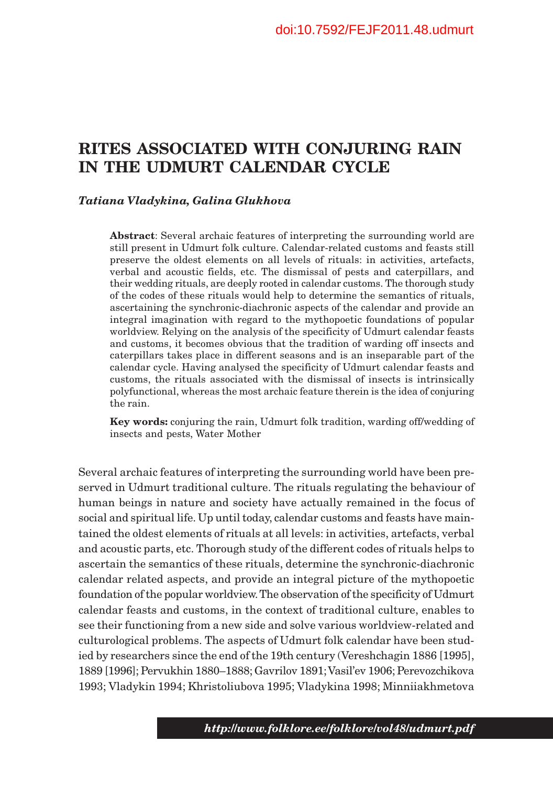# **RITES ASSOCIATED WITH CONJURING RAIN IN THE UDMURT CALENDAR CYCLE**

### *Tatiana Vladykina, Galina Glukhova*

**Abstract**: Several archaic features of interpreting the surrounding world are still present in Udmurt folk culture. Calendar-related customs and feasts still preserve the oldest elements on all levels of rituals: in activities, artefacts, verbal and acoustic fields, etc. The dismissal of pests and caterpillars, and their wedding rituals, are deeply rooted in calendar customs. The thorough study of the codes of these rituals would help to determine the semantics of rituals, ascertaining the synchronic-diachronic aspects of the calendar and provide an integral imagination with regard to the mythopoetic foundations of popular worldview. Relying on the analysis of the specificity of Udmurt calendar feasts and customs, it becomes obvious that the tradition of warding off insects and caterpillars takes place in different seasons and is an inseparable part of the calendar cycle. Having analysed the specificity of Udmurt calendar feasts and customs, the rituals associated with the dismissal of insects is intrinsically polyfunctional, whereas the most archaic feature therein is the idea of conjuring the rain.

**Key words:** conjuring the rain, Udmurt folk tradition, warding off/wedding of insects and pests, Water Mother

Several archaic features of interpreting the surrounding world have been preserved in Udmurt traditional culture. The rituals regulating the behaviour of human beings in nature and society have actually remained in the focus of social and spiritual life. Up until today, calendar customs and feasts have maintained the oldest elements of rituals at all levels: in activities, artefacts, verbal and acoustic parts, etc. Thorough study of the different codes of rituals helps to ascertain the semantics of these rituals, determine the synchronic-diachronic calendar related aspects, and provide an integral picture of the mythopoetic foundation of the popular worldview. The observation of the specificity of Udmurt calendar feasts and customs, in the context of traditional culture, enables to see their functioning from a new side and solve various worldview-related and culturological problems. The aspects of Udmurt folk calendar have been studied by researchers since the end of the 19th century (Vereshchagin 1886 [1995], 1889 [1996]; Pervukhin 1880–1888; Gavrilov 1891; Vasil'ev 1906; Perevozchikova 1993; Vladykin 1994; Khristoliubova 1995; Vladykina 1998; Minniiakhmetova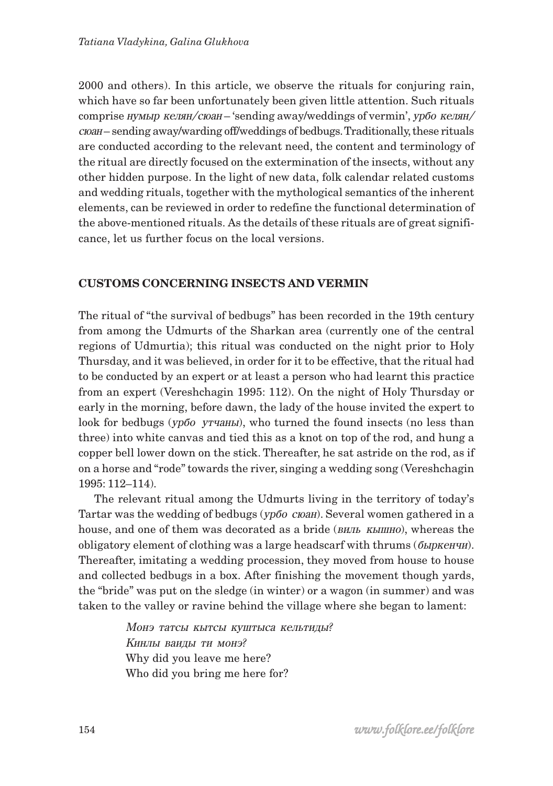2000 and others). In this article, we observe the rituals for conjuring rain, which have so far been unfortunately been given little attention. Such rituals comprise  $WML$ р келян/сюан – 'sending away/weddings of vermin',  $\gamma p \tilde{o} \alpha$  келян/ ñþàí – sending away/warding off/weddings of bedbugs. Traditionally, these rituals are conducted according to the relevant need, the content and terminology of the ritual are directly focused on the extermination of the insects, without any other hidden purpose. In the light of new data, folk calendar related customs and wedding rituals, together with the mythological semantics of the inherent elements, can be reviewed in order to redefine the functional determination of the above-mentioned rituals. As the details of these rituals are of great significance, let us further focus on the local versions.

## **CUSTOMS CONCERNING INSECTS AND VERMIN**

The ritual of "the survival of bedbugs" has been recorded in the 19th century from among the Udmurts of the Sharkan area (currently one of the central regions of Udmurtia); this ritual was conducted on the night prior to Holy Thursday, and it was believed, in order for it to be effective, that the ritual had to be conducted by an expert or at least a person who had learnt this practice from an expert (Vereshchagin 1995: 112). On the night of Holy Thursday or early in the morning, before dawn, the lady of the house invited the expert to look for bedbugs ( $\gamma p \bar{\sigma}$   $\gamma$   $\gamma$   $\gamma$   $\gamma$ ), who turned the found insects (no less than three) into white canvas and tied this as a knot on top of the rod, and hung a copper bell lower down on the stick. Thereafter, he sat astride on the rod, as if on a horse and "rode" towards the river, singing a wedding song (Vereshchagin 1995: 112–114).

The relevant ritual among the Udmurts living in the territory of today's Tartar was the wedding of bedbugs ( $yp\ddot{o}o$   $coan$ ). Several women gathered in a house, and one of them was decorated as a bride ( $BHLB$ ,  $KLJH$ ), whereas the obligatory element of clothing was a large headscarf with thrums  $(6\mu$  $K$  $H$ <sup> $\mu$ </sup>). Thereafter, imitating a wedding procession, they moved from house to house and collected bedbugs in a box. After finishing the movement though yards, the "bride" was put on the sledge (in winter) or a wagon (in summer) and was taken to the valley or ravine behind the village where she began to lament:

> Монэ татсы кытсы куштыса кельтиды? Кинлы ваиды ти монэ? Why did you leave me here? Who did you bring me here for?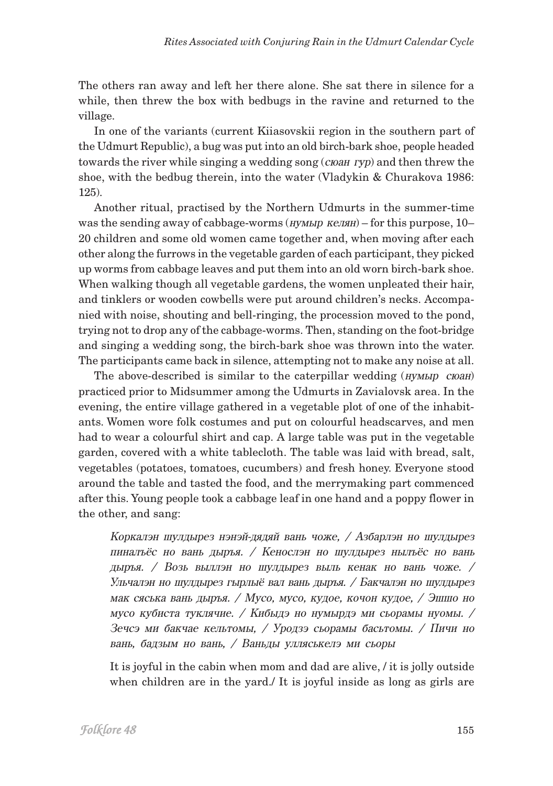The others ran away and left her there alone. She sat there in silence for a while, then threw the box with bedbugs in the ravine and returned to the village.

In one of the variants (current Kiiasovskii region in the southern part of the Udmurt Republic), a bug was put into an old birch-bark shoe, people headed towards the river while singing a wedding song  $(c_{\text{toa}} r y \hat{p})$  and then threw the shoe, with the bedbug therein, into the water (Vladykin & Churakova 1986: 125).

Another ritual, practised by the Northern Udmurts in the summer-time was the sending away of cabbage-worms  $(iywA)$   $kzA$  $j =$  for this purpose, 10– 20 children and some old women came together and, when moving after each other along the furrows in the vegetable garden of each participant, they picked up worms from cabbage leaves and put them into an old worn birch-bark shoe. When walking though all vegetable gardens, the women unpleated their hair, and tinklers or wooden cowbells were put around children's necks. Accompanied with noise, shouting and bell-ringing, the procession moved to the pond, trying not to drop any of the cabbage-worms. Then, standing on the foot-bridge and singing a wedding song, the birch-bark shoe was thrown into the water. The participants came back in silence, attempting not to make any noise at all.

The above-described is similar to the caterpillar wedding  $(HVMBID)$   $CIO$ practiced prior to Midsummer among the Udmurts in Zavialovsk area. In the evening, the entire village gathered in a vegetable plot of one of the inhabitants. Women wore folk costumes and put on colourful headscarves, and men had to wear a colourful shirt and cap. A large table was put in the vegetable garden, covered with a white tablecloth. The table was laid with bread, salt, vegetables (potatoes, tomatoes, cucumbers) and fresh honey. Everyone stood around the table and tasted the food, and the merrymaking part commenced after this. Young people took a cabbage leaf in one hand and a poppy flower in the other, and sang:

Коркалэн шулдырез нэнэй-дядяй вань чоже, / Азбарлэн но шулдырез пиналъёс но вань дыръя. / Кенослэн но шулдырез нылъёс но вань дыръя. / Возь выллэн но шулдырез выль кенак но вань чоже. / Ульчалэн но шулдырез гырлыё вал вань дыръя. / Бакчалэн но шулдырез мак сяська вань дыръя. / Мусо, мусо, кудое, кочон кудое, / Эшшо но мусо кубиста туклячие. / Кибыдэ но нумырдэ ми сьорамы нуомы. / Зечсэ ми бакчае кельтомы, / Уродзэ сьорамы басьтомы. / Пичи но вань, бадзым но вань, / Ваньды улляськелэ ми сьоры

It is joyful in the cabin when mom and dad are alive, / it is jolly outside when children are in the yard./ It is joyful inside as long as girls are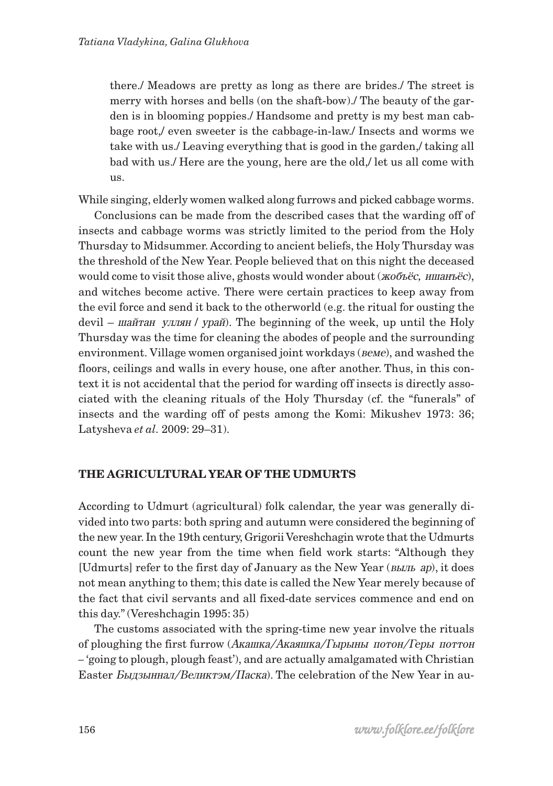there./ Meadows are pretty as long as there are brides./ The street is merry with horses and bells (on the shaft-bow)./ The beauty of the garden is in blooming poppies./ Handsome and pretty is my best man cabbage root,/ even sweeter is the cabbage-in-law./ Insects and worms we take with us./ Leaving everything that is good in the garden,/ taking all bad with us./ Here are the young, here are the old,/ let us all come with us.

While singing, elderly women walked along furrows and picked cabbage worms.

Conclusions can be made from the described cases that the warding off of insects and cabbage worms was strictly limited to the period from the Holy Thursday to Midsummer. According to ancient beliefs, the Holy Thursday was the threshold of the New Year. People believed that on this night the deceased would come to visit those alive, ghosts would wonder about  $(XO_0 \tilde{E} \tilde{E} \tilde{E})$ , and witches become active. There were certain practices to keep away from the evil force and send it back to the otherworld (e.g. the ritual for ousting the devil –  $\mu$ айтан уллян / урай). The beginning of the week, up until the Holy Thursday was the time for cleaning the abodes of people and the surrounding environment. Village women organised joint workdays ( $Beme$ ), and washed the floors, ceilings and walls in every house, one after another. Thus, in this context it is not accidental that the period for warding off insects is directly associated with the cleaning rituals of the Holy Thursday (cf. the "funerals" of insects and the warding off of pests among the Komi: Mikushev 1973: 36; Latysheva *et al.* 2009: 29–31).

## **THE AGRICULTURAL YEAR OF THE UDMURTS**

According to Udmurt (agricultural) folk calendar, the year was generally divided into two parts: both spring and autumn were considered the beginning of the new year. In the 19th century, Grigorii Vereshchagin wrote that the Udmurts count the new year from the time when field work starts: "Although they [Udmurts] refer to the first day of January as the New Year ( $BLIL$  ap), it does not mean anything to them; this date is called the New Year merely because of the fact that civil servants and all fixed-date services commence and end on this day." (Vereshchagin 1995: 35)

The customs associated with the spring-time new year involve the rituals of ploughing the first furrow (Акашка/Акаяшка/Гырыны потон/Геры поттон *–* 'going to plough, plough feast'), and are actually amalgamated with Christian Easter *Быдзыннал/Великтэм/Паска*). The celebration of the New Year in au-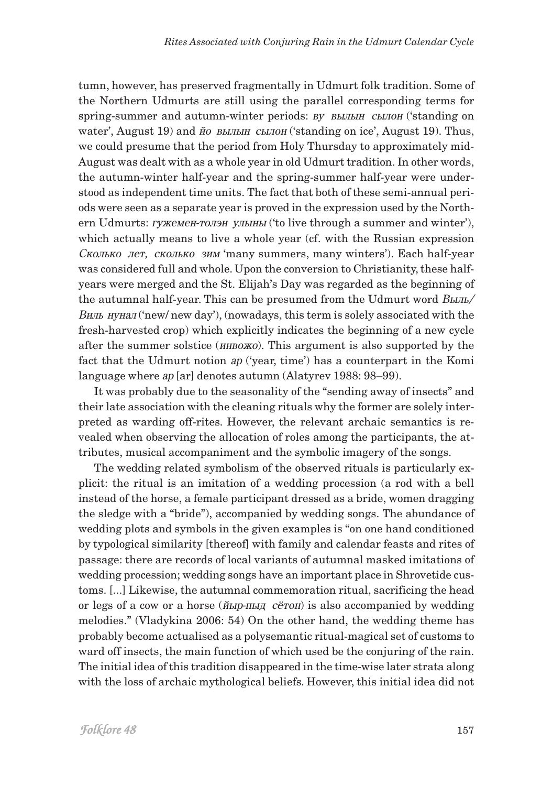tumn, however, has preserved fragmentally in Udmurt folk tradition. Some of the Northern Udmurts are still using the parallel corresponding terms for spring-summer and autumn-winter periods: *BV BELTEH CELTOH* ('standing on water', August 19) and  $\check{n}$  and  $\check{n}$  and  $\check{n}$  and  $\check{n}$  and  $\check{n}$  ('standing on ice', August 19). Thus, we could presume that the period from Holy Thursday to approximately mid-August was dealt with as a whole year in old Udmurt tradition. In other words, the autumn-winter half-year and the spring-summer half-year were understood as independent time units. The fact that both of these semi-annual periods were seen as a separate year is proved in the expression used by the Northern Udmurts: гужемен-толэн улыны ('to live through a summer and winter'), which actually means to live a whole year (cf. with the Russian expression Cколько лет, сколько зим 'many summers, many winters'). Each half-year was considered full and whole. Upon the conversion to Christianity, these halfyears were merged and the St. Elijah's Day was regarded as the beginning of the autumnal half-year. This can be presumed from the Udmurt word *Bыль*/  $B$ иль нунал ('new/ new day'), (nowadays, this term is solely associated with the fresh-harvested crop) which explicitly indicates the beginning of a new cycle after the summer solstice ( $uHBOXO$ ). This argument is also supported by the fact that the Udmurt notion  $ap$  ('year, time') has a counterpart in the Komi language where *ap* [ar] denotes autumn (Alatyrev 1988: 98–99).

It was probably due to the seasonality of the "sending away of insects" and their late association with the cleaning rituals why the former are solely interpreted as warding off-rites. However, the relevant archaic semantics is revealed when observing the allocation of roles among the participants, the attributes, musical accompaniment and the symbolic imagery of the songs.

The wedding related symbolism of the observed rituals is particularly explicit: the ritual is an imitation of a wedding procession (a rod with a bell instead of the horse, a female participant dressed as a bride, women dragging the sledge with a "bride"), accompanied by wedding songs. The abundance of wedding plots and symbols in the given examples is "on one hand conditioned by typological similarity [thereof] with family and calendar feasts and rites of passage: there are records of local variants of autumnal masked imitations of wedding procession; wedding songs have an important place in Shrovetide customs. [...] Likewise, the autumnal commemoration ritual, sacrificing the head or legs of a cow or a horse ( $\tilde{H}M$ <sup>r</sup> $H$ <sub> $H$ </sub> $\tilde{H}$   $\tilde{C}$ <sup> $\tilde{C}$ </sup> $\tilde{C}$ <sup> $\tilde{H}$ </sup>) is also accompanied by wedding melodies." (Vladykina 2006: 54) On the other hand, the wedding theme has probably become actualised as a polysemantic ritual-magical set of customs to ward off insects, the main function of which used be the conjuring of the rain. The initial idea of this tradition disappeared in the time-wise later strata along with the loss of archaic mythological beliefs. However, this initial idea did not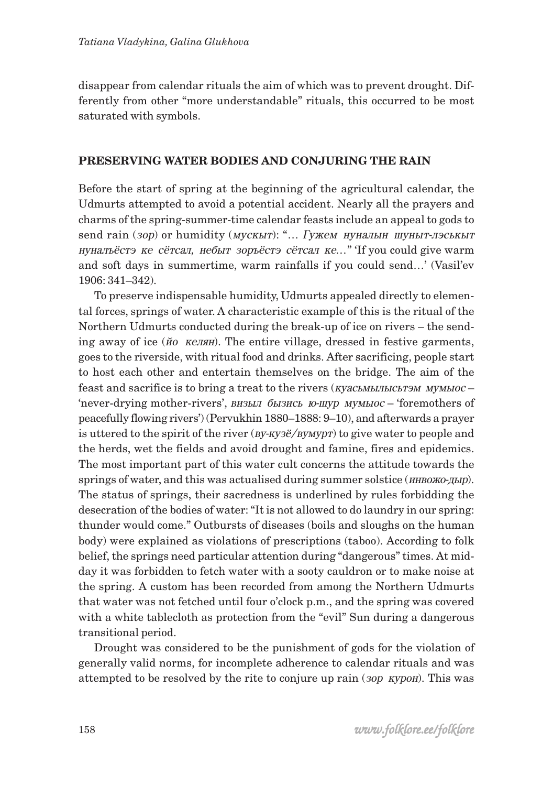disappear from calendar rituals the aim of which was to prevent drought. Differently from other "more understandable" rituals, this occurred to be most saturated with symbols.

#### **PRESERVING WATER BODIES AND CONJURING THE RAIN**

Before the start of spring at the beginning of the agricultural calendar, the Udmurts attempted to avoid a potential accident. Nearly all the prayers and charms of the spring-summer-time calendar feasts include an appeal to gods to send rain (зор) or humidity (мускыт): "... Гужем нуналын шуныт-лэськыт нунальёстэ ке сётсал, небыт зоръёстэ сётсал ке..." 'If you could give warm and soft days in summertime, warm rainfalls if you could send…' (Vasil'ev 1906: 341–342).

To preserve indispensable humidity, Udmurts appealed directly to elemental forces, springs of water. A characteristic example of this is the ritual of the Northern Udmurts conducted during the break-up of ice on rivers – the sending away of ice (éî êåëÿí). The entire village, dressed in festive garments, goes to the riverside, with ritual food and drinks. After sacrificing, people start to host each other and entertain themselves on the bridge. The aim of the feast and sacrifice is to bring a treat to the rivers  $(KYACAMJUILCBTOMMYMJUOC -$ 'never-drying mother-rivers', визыл бызись ю-шур мумы ос – 'foremothers of peacefully flowing rivers') (Pervukhin 1880–1888: 9–10), and afterwards a prayer is uttered to the spirit of the river  $\frac{1}{2}$  (*By-Ky3ë*/*ByMypr*) to give water to people and the herds, wet the fields and avoid drought and famine, fires and epidemics. The most important part of this water cult concerns the attitude towards the springs of water, and this was actualised during summer solstice ( $\mu$ HBOXO- $\mu$ LIP). The status of springs, their sacredness is underlined by rules forbidding the desecration of the bodies of water: "It is not allowed to do laundry in our spring: thunder would come." Outbursts of diseases (boils and sloughs on the human body) were explained as violations of prescriptions (taboo). According to folk belief, the springs need particular attention during "dangerous" times. At midday it was forbidden to fetch water with a sooty cauldron or to make noise at the spring. A custom has been recorded from among the Northern Udmurts that water was not fetched until four o'clock p.m., and the spring was covered with a white tablecloth as protection from the "evil" Sun during a dangerous transitional period.

Drought was considered to be the punishment of gods for the violation of generally valid norms, for incomplete adherence to calendar rituals and was attempted to be resolved by the rite to conjure up rain (*30p KypoH*). This was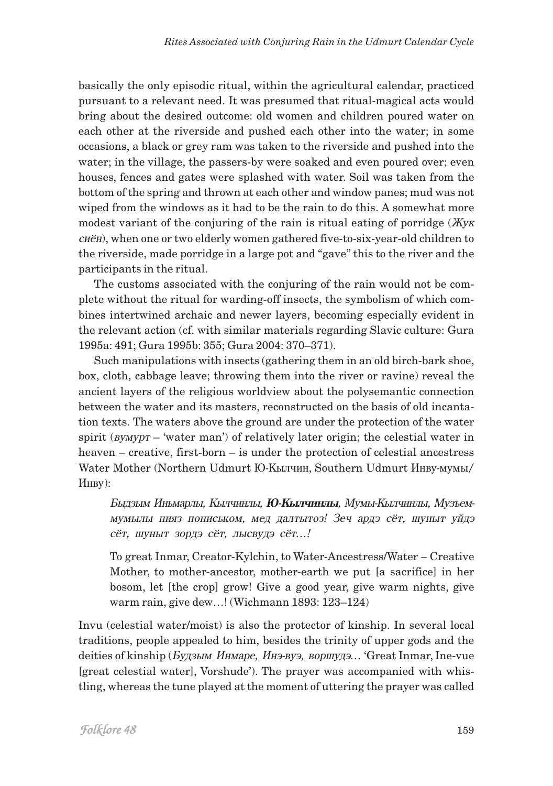basically the only episodic ritual, within the agricultural calendar, practiced pursuant to a relevant need. It was presumed that ritual-magical acts would bring about the desired outcome: old women and children poured water on each other at the riverside and pushed each other into the water; in some occasions, a black or grey ram was taken to the riverside and pushed into the water; in the village, the passers-by were soaked and even poured over; even houses, fences and gates were splashed with water. Soil was taken from the bottom of the spring and thrown at each other and window panes; mud was not wiped from the windows as it had to be the rain to do this. A somewhat more modest variant of the conjuring of the rain is ritual eating of porridge  $(XyK)$ cuën), when one or two elderly women gathered five-to-six-year-old children to the riverside, made porridge in a large pot and "gave" this to the river and the participants in the ritual.

The customs associated with the conjuring of the rain would not be complete without the ritual for warding-off insects, the symbolism of which combines intertwined archaic and newer layers, becoming especially evident in the relevant action (cf. with similar materials regarding Slavic culture: Gura 1995a: 491; Gura 1995b: 355; Gura 2004: 370–371).

Such manipulations with insects (gathering them in an old birch-bark shoe, box, cloth, cabbage leave; throwing them into the river or ravine) reveal the ancient layers of the religious worldview about the polysemantic connection between the water and its masters, reconstructed on the basis of old incantation texts. The waters above the ground are under the protection of the water spirit ( $\mu$ <sub>*NMVpT* – 'water man') of relatively later origin; the celestial water in</sub> heaven – creative, first-born – is under the protection of celestial ancestress Water Mother (Northern Udmurt Ю-Кылчин, Southern Udmurt Инву-мумы/ Инву):

Быдзым Иньмарлы, Кылчинлы, **Ю-Кылчинлы**, Мумы-Кылчинлы, Музьеммумылы пияз пониськом, мед далтытоз! Зеч ардэ сёт, шуныт уйдэ сёт, шуныт зордэ сёт, лысвудэ сёт...!

To great Inmar, Creator-Kylchin, to Water-Ancestress/Water – Creative Mother, to mother-ancestor, mother-earth we put [a sacrifice] in her bosom, let [the crop] grow! Give a good year, give warm nights, give warm rain, give dew…! (Wichmann 1893: 123–124)

Invu (celestial water/moist) is also the protector of kinship. In several local traditions, people appealed to him, besides the trinity of upper gods and the deities of kinship (*Будзым Инмаре, Инэ-вуэ, воршудэ..*. 'Great Inmar, Ine-vue [great celestial water], Vorshude'). The prayer was accompanied with whistling, whereas the tune played at the moment of uttering the prayer was called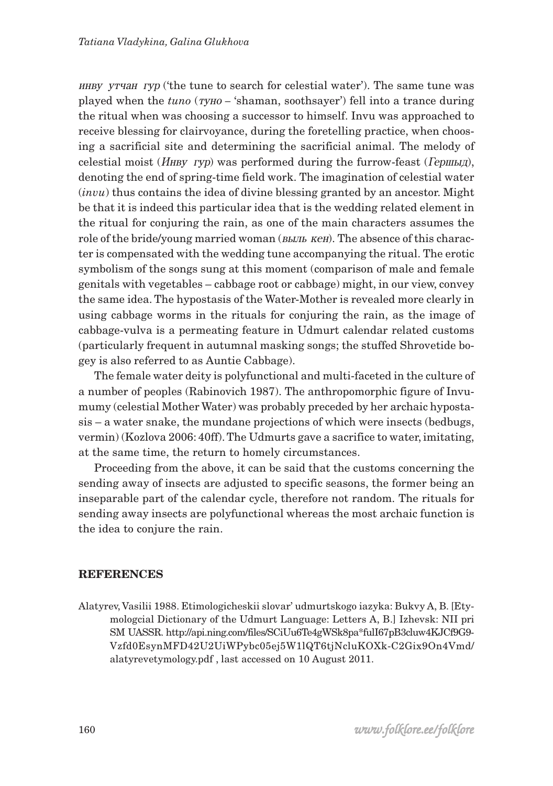èíâó óò÷àí ãóð ('the tune to search for celestial water'). The same tune was played when the *tuno* (*ryho* – 'shaman, soothsayer') fell into a trance during the ritual when was choosing a successor to himself. Invu was approached to receive blessing for clairvoyance, during the foretelling practice, when choosing a sacrificial site and determining the sacrificial animal. The melody of celestial moist ( $H$ нву гур) was performed during the furrow-feast ( $I$ ершыд), denoting the end of spring-time field work. The imagination of celestial water (*invu*) thus contains the idea of divine blessing granted by an ancestor. Might be that it is indeed this particular idea that is the wedding related element in the ritual for conjuring the rain, as one of the main characters assumes the role of the bride/young married woman (*BLIJL KeH*). The absence of this character is compensated with the wedding tune accompanying the ritual. The erotic symbolism of the songs sung at this moment (comparison of male and female genitals with vegetables – cabbage root or cabbage) might, in our view, convey the same idea. The hypostasis of the Water-Mother is revealed more clearly in using cabbage worms in the rituals for conjuring the rain, as the image of cabbage-vulva is a permeating feature in Udmurt calendar related customs (particularly frequent in autumnal masking songs; the stuffed Shrovetide bogey is also referred to as Auntie Cabbage).

The female water deity is polyfunctional and multi-faceted in the culture of a number of peoples (Rabinovich 1987). The anthropomorphic figure of Invumumy (celestial Mother Water) was probably preceded by her archaic hypostasis – a water snake, the mundane projections of which were insects (bedbugs, vermin) (Kozlova 2006: 40ff). The Udmurts gave a sacrifice to water, imitating, at the same time, the return to homely circumstances.

Proceeding from the above, it can be said that the customs concerning the sending away of insects are adjusted to specific seasons, the former being an inseparable part of the calendar cycle, therefore not random. The rituals for sending away insects are polyfunctional whereas the most archaic function is the idea to conjure the rain.

#### **REFERENCES**

Alatyrev, Vasilii 1988. Etimologicheskii slovar' udmurtskogo iazyka: Bukvy A, B. [Etymologcial Dictionary of the Udmurt Language: Letters A, B.] Izhevsk: NII pri SM UASSR. http://api.ning.com/files/SCiUu6Te4gWSk8pa\*fulI67pB3cluw4KJCf9G9- Vzfd0EsynMFD42U2UiWPybc05ej5W1lQT6tjNcluKOXk-C2Gix9On4Vmd/ alatyrevetymology.pdf , last accessed on 10 August 2011.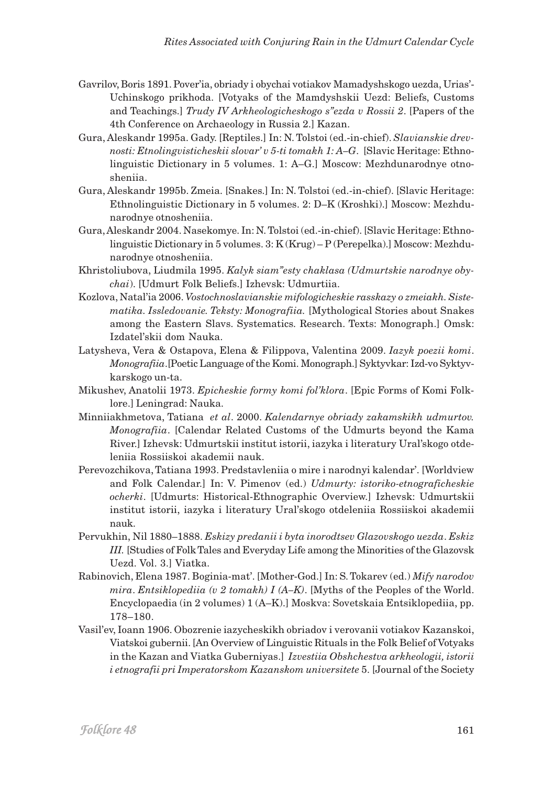- Gavrilov, Boris 1891. Pover'ia, obriady i obychai votiakov Mamadyshskogo uezda, Urias'- Uchinskogo prikhoda. [Votyaks of the Mamdyshskii Uezd: Beliefs, Customs and Teachings.] *Trudy IV Arkheologicheskogo s"ezda v Rossii 2*. [Papers of the 4th Conference on Archaeology in Russia 2.] Kazan.
- Gura, Aleskandr 1995a. Gady. [Reptiles.] In: N. Tolstoi (ed.-in-chief). *Slavianskie drevnosti: Etnolingvisticheskii slovar' v 5-ti tomakh 1: A–G*. [Slavic Heritage: Ethnolinguistic Dictionary in 5 volumes. 1: A–G.] Moscow: Mezhdunarodnye otnosheniia.
- Gura, Aleskandr 1995b. Zmeia. [Snakes.] In: N. Tolstoi (ed.-in-chief). [Slavic Heritage: Ethnolinguistic Dictionary in 5 volumes. 2: D–K (Kroshki).] Moscow: Mezhdunarodnye otnosheniia.
- Gura, Aleskandr 2004. Nasekomye. In: N. Tolstoi (ed.-in-chief). [Slavic Heritage: Ethnolinguistic Dictionary in 5 volumes. 3: K (Krug) – P (Perepelka).] Moscow: Mezhdunarodnye otnosheniia.
- Khristoliubova, Liudmila 1995. *Kalyk siam"esty chaklasa (Udmurtskie narodnye obychai*). [Udmurt Folk Beliefs.] Izhevsk: Udmurtiia.
- Kozlova, Natal'ia 2006. *Vostochnoslavianskie mifologicheskie rasskazy o zmeiakh. Sistematika. Issledovanie. Teksty: Monografiia.* [Mythological Stories about Snakes among the Eastern Slavs. Systematics. Research. Texts: Monograph.] Omsk: Izdatel'skii dom Nauka.
- Latysheva, Vera & Ostapova, Elena & Filippova, Valentina 2009. *Iazyk poezii komi*. *Monografiia*.[Poetic Language of the Komi. Monograph.] Syktyvkar: Izd-vo Syktyvkarskogo un-ta.
- Mikushev, Anatolii 1973. *Epicheskie formy komi fol'klora*. [Epic Forms of Komi Folklore.] Leningrad: Nauka.
- Minniiakhmetova, Tatiana *et al*. 2000. *Kalendarnye obriady zakamskikh udmurtov. Monografiia*. [Calendar Related Customs of the Udmurts beyond the Kama River.] Izhevsk: Udmurtskii institut istorii, iazyka i literatury Ural'skogo otdeleniia Rossiiskoi akademii nauk.
- Perevozchikova, Tatiana 1993. Predstavleniia o mire i narodnyi kalendar'. [Worldview and Folk Calendar.] In: V. Pimenov (ed.) *Udmurty: istoriko-etnograficheskie ocherki*. [Udmurts: Historical-Ethnographic Overview.] Izhevsk: Udmurtskii institut istorii, iazyka i literatury Ural'skogo otdeleniia Rossiiskoi akademii nauk.
- Pervukhin, Nil 1880–1888. *Eskizy predanii i byta inorodtsev Glazovskogo uezda*. *Eskiz III.* [Studies of Folk Tales and Everyday Life among the Minorities of the Glazovsk Uezd. Vol. 3.] Viatka.
- Rabinovich, Elena 1987. Boginia-mat'. [Mother-God.] In: S. Tokarev (ed.) *Mify narodov mira*. *Entsiklopediia (v 2 tomakh) I (A–K)*. [Myths of the Peoples of the World. Encyclopaedia (in 2 volumes) 1 (A–K).] Moskva: Sovetskaia Entsiklopediia, pp. 178–180.
- Vasil'ev, Ioann 1906. Obozrenie iazycheskikh obriadov i verovanii votiakov Kazanskoi, Viatskoi gubernii. [An Overview of Linguistic Rituals in the Folk Belief of Votyaks in the Kazan and Viatka Guberniyas.] *Izvestiia Obshchestva arkheologii, istorii i etnografii pri Imperatorskom Kazanskom universitete* 5. [Journal of the Society